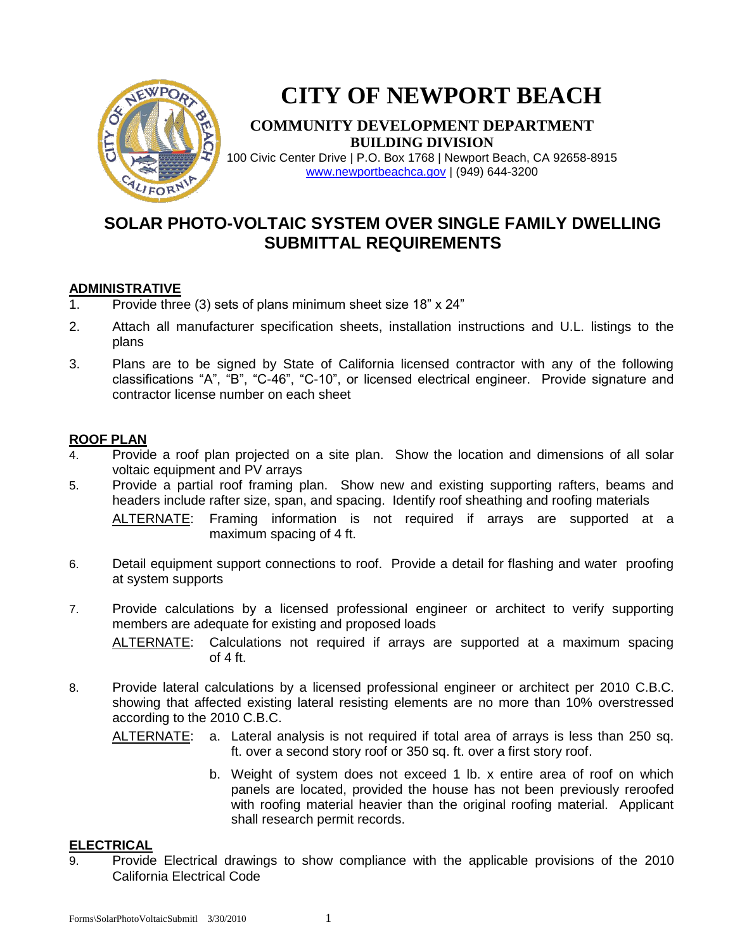

# **CITY OF NEWPORT BEACH**

### **COMMUNITY DEVELOPMENT DEPARTMENT BUILDING DIVISION**

100 Civic Center Drive | P.O. Box 1768 | Newport Beach, CA 92658-8915 [www.newportbeachca.gov](http://www.newportbeachca.gov/) | (949) 644-3200

## **SOLAR PHOTO-VOLTAIC SYSTEM OVER SINGLE FAMILY DWELLING SUBMITTAL REQUIREMENTS**

#### **ADMINISTRATIVE**

- 1. Provide three (3) sets of plans minimum sheet size 18" x 24"
- 2. Attach all manufacturer specification sheets, installation instructions and U.L. listings to the plans
- 3. Plans are to be signed by State of California licensed contractor with any of the following classifications "A", "B", "C-46", "C-10", or licensed electrical engineer. Provide signature and contractor license number on each sheet

#### **ROOF PLAN**

- 4. Provide a roof plan projected on a site plan. Show the location and dimensions of all solar voltaic equipment and PV arrays
- 5. Provide a partial roof framing plan. Show new and existing supporting rafters, beams and headers include rafter size, span, and spacing. Identify roof sheathing and roofing materials ALTERNATE: Framing information is not required if arrays are supported at a maximum spacing of 4 ft.
- 6. Detail equipment support connections to roof. Provide a detail for flashing and water proofing at system supports
- 7. Provide calculations by a licensed professional engineer or architect to verify supporting members are adequate for existing and proposed loads

ALTERNATE: Calculations not required if arrays are supported at a maximum spacing of  $4 \text{ ft}$ .

8. Provide lateral calculations by a licensed professional engineer or architect per 2010 C.B.C. showing that affected existing lateral resisting elements are no more than 10% overstressed according to the 2010 C.B.C.

ALTERNATE: a. Lateral analysis is not required if total area of arrays is less than 250 sq. ft. over a second story roof or 350 sq. ft. over a first story roof.

> b. Weight of system does not exceed 1 lb. x entire area of roof on which panels are located, provided the house has not been previously reroofed with roofing material heavier than the original roofing material. Applicant shall research permit records.

#### **ELECTRICAL**

9. Provide Electrical drawings to show compliance with the applicable provisions of the 2010 California Electrical Code